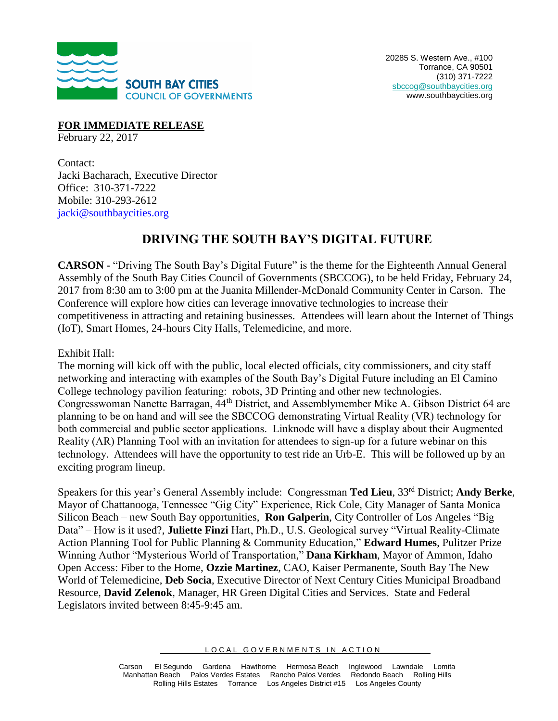

**FOR IMMEDIATE RELEASE** 

February 22, 2017

Contact: Jacki Bacharach, Executive Director Office: 310-371-7222 Mobile: 310-293-2612 [jacki@southbaycities.org](mailto:jacki@southbaycities.org)

## **DRIVING THE SOUTH BAY'S DIGITAL FUTURE**

**CARSON -** "Driving The South Bay's Digital Future" is the theme for the Eighteenth Annual General Assembly of the South Bay Cities Council of Governments (SBCCOG), to be held Friday, February 24, 2017 from 8:30 am to 3:00 pm at the Juanita Millender-McDonald Community Center in Carson. The Conference will explore how cities can leverage innovative technologies to increase their competitiveness in attracting and retaining businesses. Attendees will learn about the Internet of Things (IoT), Smart Homes, 24-hours City Halls, Telemedicine, and more.

Exhibit Hall:

The morning will kick off with the public, local elected officials, city commissioners, and city staff networking and interacting with examples of the South Bay's Digital Future including an El Camino College technology pavilion featuring: robots, 3D Printing and other new technologies. Congresswoman Nanette Barragan, 44th District, and Assemblymember Mike A. Gibson District 64 are planning to be on hand and will see the SBCCOG demonstrating Virtual Reality (VR) technology for both commercial and public sector applications. Linknode will have a display about their Augmented Reality (AR) Planning Tool with an invitation for attendees to sign-up for a future webinar on this technology. Attendees will have the opportunity to test ride an Urb-E. This will be followed up by an exciting program lineup.

Speakers for this year's General Assembly include: Congressman **Ted Lieu**, 33rd District; **Andy Berke**, Mayor of Chattanooga, Tennessee "Gig City" Experience, Rick Cole, City Manager of Santa Monica Silicon Beach – new South Bay opportunities, **Ron Galperin**, City Controller of Los Angeles "Big Data" – How is it used?, **Juliette Finzi** Hart, Ph.D., U.S. Geological survey "Virtual Reality-Climate Action Planning Tool for Public Planning & Community Education," **Edward Humes**, Pulitzer Prize Winning Author "Mysterious World of Transportation," **Dana Kirkham**, Mayor of Ammon, Idaho Open Access: Fiber to the Home, **Ozzie Martinez**, CAO, Kaiser Permanente, South Bay The New World of Telemedicine, **Deb Socia**, Executive Director of Next Century Cities Municipal Broadband Resource, **David Zelenok**, Manager, HR Green Digital Cities and Services. State and Federal Legislators invited between 8:45-9:45 am.

LOCAL GOVERNMENTS IN ACTION